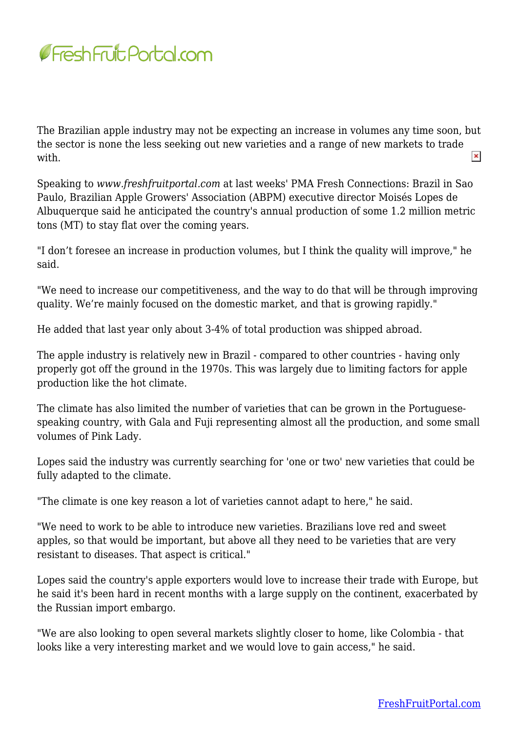

The Brazilian apple industry may not be expecting an increase in volumes any time soon, but the sector is none the less seeking out new varieties and a range of new markets to trade  $\pmb{\times}$ with.

Speaking to *www.freshfruitportal.com* at last weeks' PMA Fresh Connections: Brazil in Sao Paulo, Brazilian Apple Growers' Association (ABPM) executive director Moisés Lopes de Albuquerque said he anticipated the country's annual production of some 1.2 million metric tons (MT) to stay flat over the coming years.

"I don't foresee an increase in production volumes, but I think the quality will improve," he said.

"We need to increase our competitiveness, and the way to do that will be through improving quality. We're mainly focused on the domestic market, and that is growing rapidly."

He added that last year only about 3-4% of total production was shipped abroad.

The apple industry is relatively new in Brazil - compared to other countries - having only properly got off the ground in the 1970s. This was largely due to limiting factors for apple production like the hot climate.

The climate has also limited the number of varieties that can be grown in the Portuguesespeaking country, with Gala and Fuji representing almost all the production, and some small volumes of Pink Lady.

Lopes said the industry was currently searching for 'one or two' new varieties that could be fully adapted to the climate.

"The climate is one key reason a lot of varieties cannot adapt to here," he said.

"We need to work to be able to introduce new varieties. Brazilians love red and sweet apples, so that would be important, but above all they need to be varieties that are very resistant to diseases. That aspect is critical."

Lopes said the country's apple exporters would love to increase their trade with Europe, but he said it's been hard in recent months with a large supply on the continent, exacerbated by the Russian import embargo.

"We are also looking to open several markets slightly closer to home, like Colombia - that looks like a very interesting market and we would love to gain access," he said.